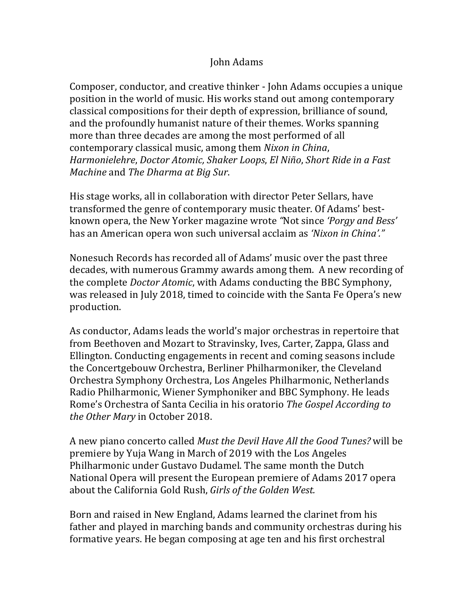## John Adams

Composer, conductor, and creative thinker - John Adams occupies a unique position in the world of music. His works stand out among contemporary classical compositions for their depth of expression, brilliance of sound, and the profoundly humanist nature of their themes. Works spanning more than three decades are among the most performed of all contemporary classical music, among them *Nixon* in *China*, *Harmonielehre*, *Doctor Atomic, Shaker Loops*, *El Niño*, *Short Ride in a Fast Machine* and *The Dharma at Big Sur*.

His stage works, all in collaboration with director Peter Sellars, have transformed the genre of contemporary music theater. Of Adams' bestknown opera, the New Yorker magazine wrote "Not since *'Porgy and Bess'* has an American opera won such universal acclaim as 'Nixon in China'."

Nonesuch Records has recorded all of Adams' music over the past three decades, with numerous Grammy awards among them. A new recording of the complete *Doctor Atomic*, with Adams conducting the BBC Symphony, was released in July 2018, timed to coincide with the Santa Fe Opera's new production. 

As conductor, Adams leads the world's major orchestras in repertoire that from Beethoven and Mozart to Stravinsky, Ives, Carter, Zappa, Glass and Ellington. Conducting engagements in recent and coming seasons include the Concertgebouw Orchestra, Berliner Philharmoniker, the Cleveland Orchestra Symphony Orchestra, Los Angeles Philharmonic, Netherlands Radio Philharmonic, Wiener Symphoniker and BBC Symphony. He leads Rome's Orchestra of Santa Cecilia in his oratorio *The Gospel According to the Other Mary* in October 2018.

A new piano concerto called *Must the Devil Have All the Good Tunes?* will be premiere by Yuja Wang in March of 2019 with the Los Angeles Philharmonic under Gustavo Dudamel. The same month the Dutch National Opera will present the European premiere of Adams 2017 opera about the California Gold Rush, *Girls of the Golden West.* 

Born and raised in New England, Adams learned the clarinet from his father and played in marching bands and community orchestras during his formative years. He began composing at age ten and his first orchestral